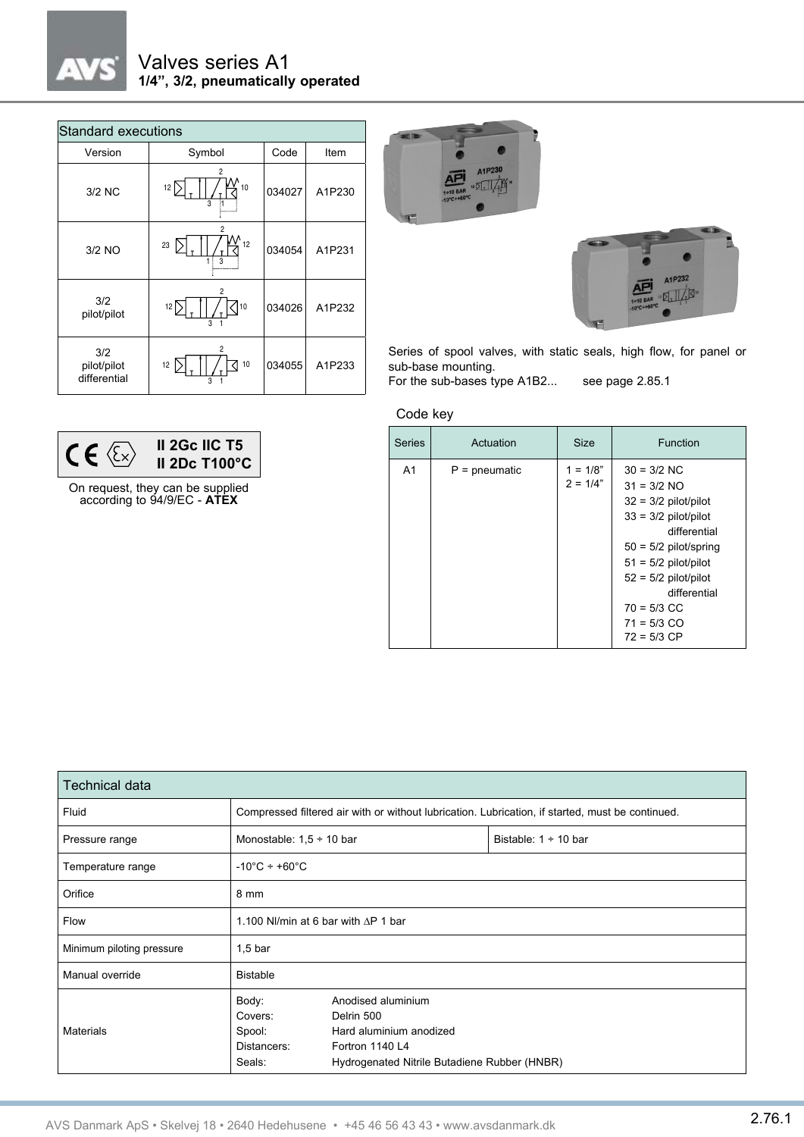

## Valves series A1 **1/4", 3/2, pneumatically operated**

| <b>Standard executions</b>         |                                                   |        |        |  |  |  |
|------------------------------------|---------------------------------------------------|--------|--------|--|--|--|
| Version                            | Symbol                                            | Code   | Item   |  |  |  |
| 3/2 NC                             | 2<br>10<br>12<br>3                                | 034027 | A1P230 |  |  |  |
| $3/2$ NO                           | 2<br>12<br>23<br>3                                | 034054 | A1P231 |  |  |  |
| 3/2<br>pilot/pilot                 | 2<br>12 $\Gamma$<br>10<br>$\overline{\mathbf{a}}$ | 034026 | A1P232 |  |  |  |
| 3/2<br>pilot/pilot<br>differential | 2<br>12<br>10<br>3                                | 034055 | A1P233 |  |  |  |





Series of spool valves, with static seals, high flow, for panel or sub-base mounting.

For the sub-bases type A1B2... see page 2.85.1

Code key



On request, they can be supplied according to 94/9/EC - **ATEX**

| <b>Series</b>  | Actuation       | <b>Size</b>              | Function                                                                                                                                                                                                                                             |
|----------------|-----------------|--------------------------|------------------------------------------------------------------------------------------------------------------------------------------------------------------------------------------------------------------------------------------------------|
| A <sub>1</sub> | $P =$ pneumatic | $1 = 1/8"$<br>$2 = 1/4"$ | $30 = 3/2$ NC<br>$31 = 3/2$ NO<br>$32 = 3/2$ pilot/pilot<br>$33 = 3/2$ pilot/pilot<br>differential<br>$50 = 5/2$ pilot/spring<br>$51 = 5/2$ pilot/pilot<br>$52 = 5/2$ pilot/pilot<br>differential<br>$70 = 5/3$ CC<br>$71 = 5/3$ CO<br>$72 = 5/3$ CP |

| <b>Technical data</b>     |                                                                                                  |                                                                                                                                |                           |  |  |
|---------------------------|--------------------------------------------------------------------------------------------------|--------------------------------------------------------------------------------------------------------------------------------|---------------------------|--|--|
| Fluid                     | Compressed filtered air with or without lubrication. Lubrication, if started, must be continued. |                                                                                                                                |                           |  |  |
| Pressure range            | Monostable: $1,5 \div 10$ bar                                                                    |                                                                                                                                | Bistable: $1 \div 10$ bar |  |  |
| Temperature range         | $-10^{\circ}$ C ÷ +60 $^{\circ}$ C                                                               |                                                                                                                                |                           |  |  |
| Orifice                   | 8 mm                                                                                             |                                                                                                                                |                           |  |  |
| Flow                      | 1.100 NI/min at 6 bar with $\triangle$ P 1 bar                                                   |                                                                                                                                |                           |  |  |
| Minimum piloting pressure | $1,5$ bar                                                                                        |                                                                                                                                |                           |  |  |
| Manual override           | <b>Bistable</b>                                                                                  |                                                                                                                                |                           |  |  |
| <b>Materials</b>          | Body:<br>Covers:<br>Spool:<br>Distancers:<br>Seals:                                              | Anodised aluminium<br>Delrin 500<br>Hard aluminium anodized<br>Fortron 1140 L4<br>Hydrogenated Nitrile Butadiene Rubber (HNBR) |                           |  |  |